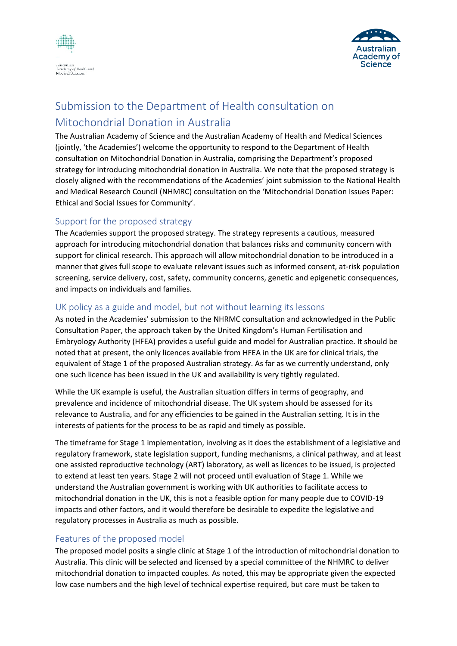



## Submission to the Department of Health consultation on Mitochondrial Donation in Australia

The Australian Academy of Science and the Australian Academy of Health and Medical Sciences (jointly, 'the Academies') welcome the opportunity to respond to the Department of Health consultation on Mitochondrial Donation in Australia, comprising the Department's proposed strategy for introducing mitochondrial donation in Australia. We note that the proposed strategy is closely aligned with the recommendations of the Academies' joint submission to the National Health and Medical Research Council (NHMRC) consultation on the 'Mitochondrial Donation Issues Paper: Ethical and Social Issues for Community'.

## Support for the proposed strategy

The Academies support the proposed strategy. The strategy represents a cautious, measured approach for introducing mitochondrial donation that balances risks and community concern with support for clinical research. This approach will allow mitochondrial donation to be introduced in a manner that gives full scope to evaluate relevant issues such as informed consent, at-risk population screening, service delivery, cost, safety, community concerns, genetic and epigenetic consequences, and impacts on individuals and families.

## UK policy as a guide and model, but not without learning its lessons

As noted in the Academies' submission to the NHRMC consultation and acknowledged in the Public Consultation Paper, the approach taken by the United Kingdom's Human Fertilisation and Embryology Authority (HFEA) provides a useful guide and model for Australian practice. It should be noted that at present, the only licences available from HFEA in the UK are for clinical trials, the equivalent of Stage 1 of the proposed Australian strategy. As far as we currently understand, only one such licence has been issued in the UK and availability is very tightly regulated.

While the UK example is useful, the Australian situation differs in terms of geography, and prevalence and incidence of mitochondrial disease. The UK system should be assessed for its relevance to Australia, and for any efficiencies to be gained in the Australian setting. It is in the interests of patients for the process to be as rapid and timely as possible.

The timeframe for Stage 1 implementation, involving as it does the establishment of a legislative and regulatory framework, state legislation support, funding mechanisms, a clinical pathway, and at least one assisted reproductive technology (ART) laboratory, as well as licences to be issued, is projected to extend at least ten years. Stage 2 will not proceed until evaluation of Stage 1. While we understand the Australian government is working with UK authorities to facilitate access to mitochondrial donation in the UK, this is not a feasible option for many people due to COVID-19 impacts and other factors, and it would therefore be desirable to expedite the legislative and regulatory processes in Australia as much as possible.

## Features of the proposed model

The proposed model posits a single clinic at Stage 1 of the introduction of mitochondrial donation to Australia. This clinic will be selected and licensed by a special committee of the NHMRC to deliver mitochondrial donation to impacted couples. As noted, this may be appropriate given the expected low case numbers and the high level of technical expertise required, but care must be taken to